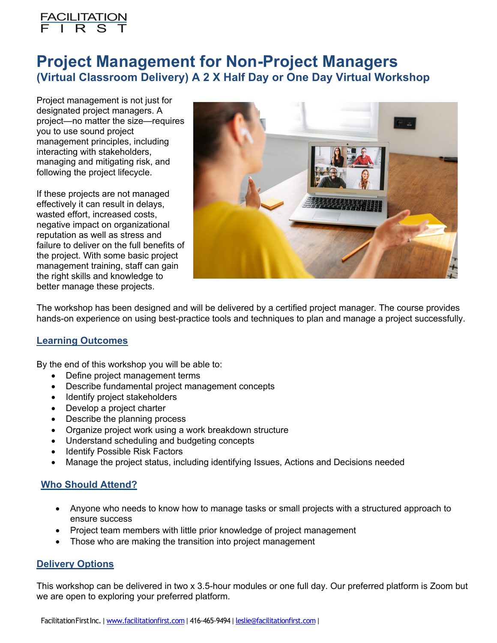

# **Project Management for Non-Project Managers (Virtual Classroom Delivery) A 2 X Half Day or One Day Virtual Workshop**

Project management is not just for designated project managers. A project—no matter the size—requires you to use sound project management principles, including interacting with stakeholders, managing and mitigating risk, and following the project lifecycle.

If these projects are not managed effectively it can result in delays, wasted effort, increased costs, negative impact on organizational reputation as well as stress and failure to deliver on the full benefits of the project. With some basic project management training, staff can gain the right skills and knowledge to better manage these projects.



The workshop has been designed and will be delivered by a certified project manager. The course provides hands-on experience on using best-practice tools and techniques to plan and manage a project successfully.

## **Learning Outcomes**

By the end of this workshop you will be able to:

- Define project management terms
- Describe fundamental project management concepts
- Identify project stakeholders
- Develop a project charter
- Describe the planning process
- Organize project work using a work breakdown structure
- Understand scheduling and budgeting concepts
- Identify Possible Risk Factors
- Manage the project status, including identifying Issues, Actions and Decisions needed

## **Who Should Attend?**

- Anyone who needs to know how to manage tasks or small projects with a structured approach to ensure success
- Project team members with little prior knowledge of project management
- Those who are making the transition into project management

#### **Delivery Options**

This workshop can be delivered in two x 3.5-hour modules or one full day. Our preferred platform is Zoom but we are open to exploring your preferred platform.

FacilitationFirstInc. | www.facilitationfirst.com | 416-465-9494 | leslie@facilitationfirst.com |